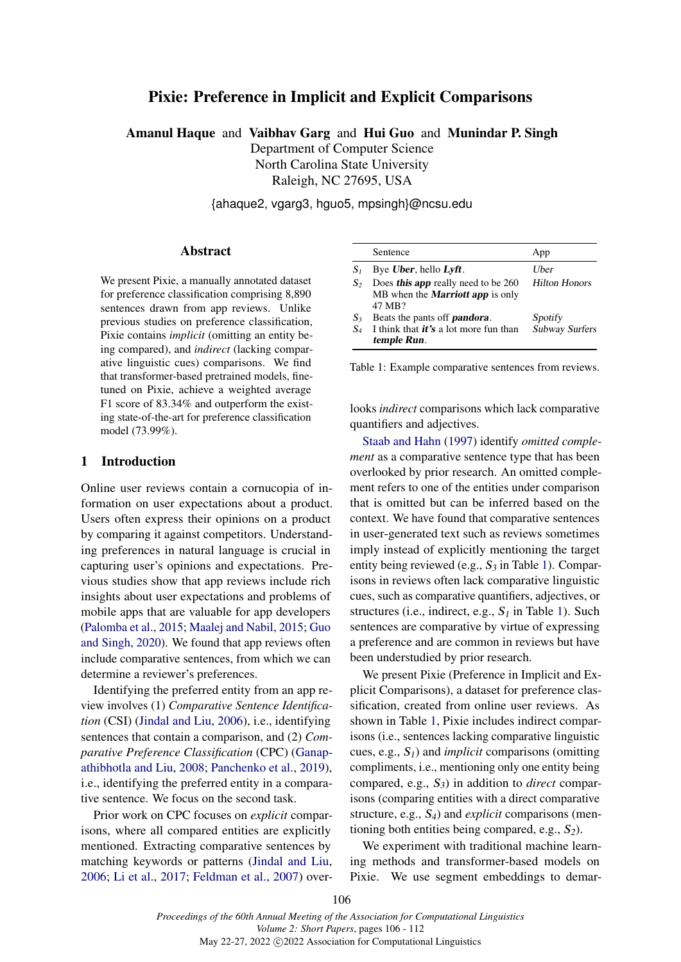# Pixie: Preference in Implicit and Explicit Comparisons

Amanul Haque and Vaibhav Garg and Hui Guo and Munindar P. Singh Department of Computer Science North Carolina State University Raleigh, NC 27695, USA

{ahaque2, vgarg3, hguo5, mpsingh}@ncsu.edu

# Abstract

We present Pixie, a manually annotated dataset for preference classification comprising 8,890 sentences drawn from app reviews. Unlike previous studies on preference classification, Pixie contains *implicit* (omitting an entity being compared), and *indirect* (lacking comparative linguistic cues) comparisons. We find that transformer-based pretrained models, finetuned on Pixie, achieve a weighted average F1 score of 83.34% and outperform the existing state-of-the-art for preference classification model (73.99%).

#### 1 Introduction

Online user reviews contain a cornucopia of information on user expectations about a product. Users often express their opinions on a product by comparing it against competitors. Understanding preferences in natural language is crucial in capturing user's opinions and expectations. Previous studies show that app reviews include rich insights about user expectations and problems of mobile apps that are valuable for app developers [\(Palomba et al.,](#page-5-0) [2015;](#page-5-0) [Maalej and Nabil,](#page-5-1) [2015;](#page-5-1) [Guo](#page-5-2) [and Singh,](#page-5-2) [2020\)](#page-5-2). We found that app reviews often include comparative sentences, from which we can determine a reviewer's preferences.

Identifying the preferred entity from an app review involves (1) *Comparative Sentence Identification* (CSI) [\(Jindal and Liu,](#page-5-3) [2006\)](#page-5-3), i.e., identifying sentences that contain a comparison, and (2) *Comparative Preference Classification* (CPC) [\(Ganap](#page-5-4)[athibhotla and Liu,](#page-5-4) [2008;](#page-5-4) [Panchenko et al.,](#page-5-5) [2019\)](#page-5-5), i.e., identifying the preferred entity in a comparative sentence. We focus on the second task.

Prior work on CPC focuses on *explicit* comparisons, where all compared entities are explicitly mentioned. Extracting comparative sentences by matching keywords or patterns [\(Jindal and Liu,](#page-5-3) [2006;](#page-5-3) [Li et al.,](#page-5-6) [2017;](#page-5-6) [Feldman et al.,](#page-5-7) [2007\)](#page-5-7) over-

<span id="page-0-0"></span>

|                | Sentence                                                                                 | App                       |
|----------------|------------------------------------------------------------------------------------------|---------------------------|
| $S_1$          | Bye Uber, hello Lyft.                                                                    | Uber                      |
| $S_2$          | Does this app really need to be 260<br>MB when the <b>Marriott app</b> is only<br>47 MB? | <b>Hilton Honors</b>      |
| $S_3$<br>$S_4$ | Beats the pants off <b>pandora</b> .<br>I think that <i>it's</i> a lot more fun than     | Spotity<br>Subway Surfers |
|                | temple Run.                                                                              |                           |

Table 1: Example comparative sentences from reviews.

looks *indirect* comparisons which lack comparative quantifiers and adjectives.

[Staab and Hahn](#page-6-0) [\(1997\)](#page-6-0) identify *omitted complement* as a comparative sentence type that has been overlooked by prior research. An omitted complement refers to one of the entities under comparison that is omitted but can be inferred based on the context. We have found that comparative sentences in user-generated text such as reviews sometimes imply instead of explicitly mentioning the target entity being reviewed (e.g.,  $S_3$  in Table [1\)](#page-0-0). Comparisons in reviews often lack comparative linguistic cues, such as comparative quantifiers, adjectives, or structures (i.e., indirect, e.g.,  $S<sub>1</sub>$  in Table [1\)](#page-0-0). Such sentences are comparative by virtue of expressing a preference and are common in reviews but have been understudied by prior research.

We present Pixie (Preference in Implicit and Explicit Comparisons), a dataset for preference classification, created from online user reviews. As shown in Table [1,](#page-0-0) Pixie includes indirect comparisons (i.e., sentences lacking comparative linguistic cues, e.g.,  $S_1$ ) and *implicit* comparisons (omitting compliments, i.e., mentioning only one entity being compared, e.g.,  $S_3$ ) in addition to *direct* comparisons (comparing entities with a direct comparative structure, e.g., S4) and *explicit* comparisons (mentioning both entities being compared, e.g.,  $S_2$ ).

We experiment with traditional machine learning methods and transformer-based models on Pixie. We use segment embeddings to demar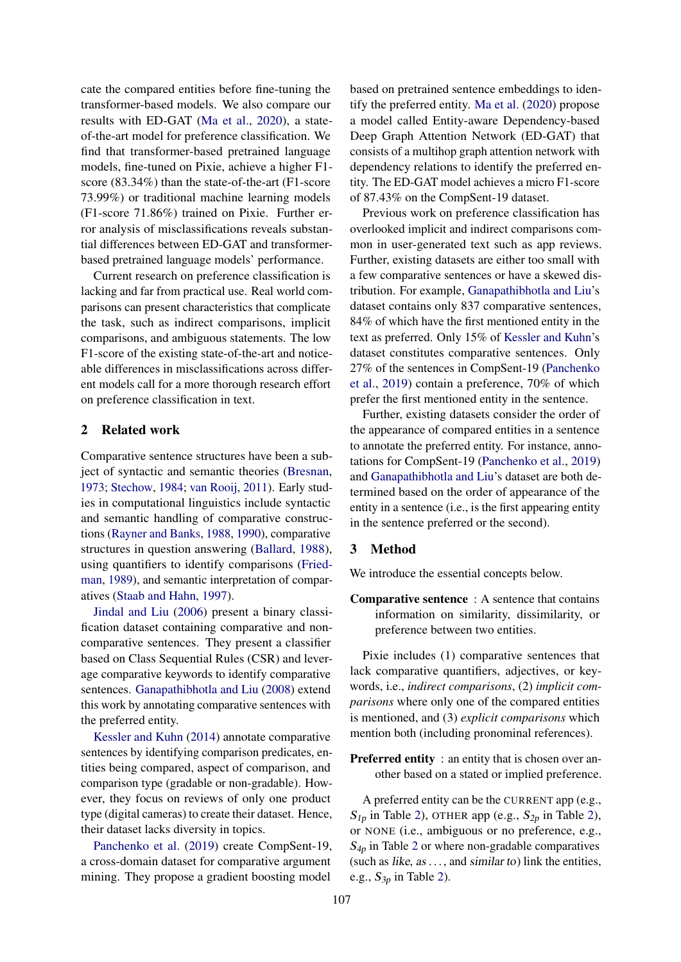cate the compared entities before fine-tuning the transformer-based models. We also compare our results with ED-GAT [\(Ma et al.,](#page-5-8) [2020\)](#page-5-8), a stateof-the-art model for preference classification. We find that transformer-based pretrained language models, fine-tuned on Pixie, achieve a higher F1 score (83.34%) than the state-of-the-art (F1-score 73.99%) or traditional machine learning models (F1-score 71.86%) trained on Pixie. Further error analysis of misclassifications reveals substantial differences between ED-GAT and transformerbased pretrained language models' performance.

Current research on preference classification is lacking and far from practical use. Real world comparisons can present characteristics that complicate the task, such as indirect comparisons, implicit comparisons, and ambiguous statements. The low F1-score of the existing state-of-the-art and noticeable differences in misclassifications across different models call for a more thorough research effort on preference classification in text.

# 2 Related work

Comparative sentence structures have been a subject of syntactic and semantic theories [\(Bresnan,](#page-5-9) [1973;](#page-5-9) [Stechow,](#page-6-1) [1984;](#page-6-1) [van Rooij,](#page-6-2) [2011\)](#page-6-2). Early studies in computational linguistics include syntactic and semantic handling of comparative constructions [\(Rayner and Banks,](#page-6-3) [1988,](#page-6-3) [1990\)](#page-6-4), comparative structures in question answering [\(Ballard,](#page-5-10) [1988\)](#page-5-10), using quantifiers to identify comparisons [\(Fried](#page-5-11)[man,](#page-5-11) [1989\)](#page-5-11), and semantic interpretation of comparatives [\(Staab and Hahn,](#page-6-0) [1997\)](#page-6-0).

[Jindal and Liu](#page-5-3) [\(2006\)](#page-5-3) present a binary classification dataset containing comparative and noncomparative sentences. They present a classifier based on Class Sequential Rules (CSR) and leverage comparative keywords to identify comparative sentences. [Ganapathibhotla and Liu](#page-5-4) [\(2008\)](#page-5-4) extend this work by annotating comparative sentences with the preferred entity.

[Kessler and Kuhn](#page-5-12) [\(2014\)](#page-5-12) annotate comparative sentences by identifying comparison predicates, entities being compared, aspect of comparison, and comparison type (gradable or non-gradable). However, they focus on reviews of only one product type (digital cameras) to create their dataset. Hence, their dataset lacks diversity in topics.

[Panchenko et al.](#page-5-5) [\(2019\)](#page-5-5) create CompSent-19, a cross-domain dataset for comparative argument mining. They propose a gradient boosting model based on pretrained sentence embeddings to identify the preferred entity. [Ma et al.](#page-5-8) [\(2020\)](#page-5-8) propose a model called Entity-aware Dependency-based Deep Graph Attention Network (ED-GAT) that consists of a multihop graph attention network with dependency relations to identify the preferred entity. The ED-GAT model achieves a micro F1-score of 87.43% on the CompSent-19 dataset.

Previous work on preference classification has overlooked implicit and indirect comparisons common in user-generated text such as app reviews. Further, existing datasets are either too small with a few comparative sentences or have a skewed distribution. For example, [Ganapathibhotla and Liu'](#page-5-4)s dataset contains only 837 comparative sentences, 84% of which have the first mentioned entity in the text as preferred. Only 15% of [Kessler and Kuhn'](#page-5-12)s dataset constitutes comparative sentences. Only 27% of the sentences in CompSent-19 [\(Panchenko](#page-5-5) [et al.,](#page-5-5) [2019\)](#page-5-5) contain a preference, 70% of which prefer the first mentioned entity in the sentence.

Further, existing datasets consider the order of the appearance of compared entities in a sentence to annotate the preferred entity. For instance, annotations for CompSent-19 [\(Panchenko et al.,](#page-5-5) [2019\)](#page-5-5) and [Ganapathibhotla and Liu'](#page-5-4)s dataset are both determined based on the order of appearance of the entity in a sentence (i.e., is the first appearing entity in the sentence preferred or the second).

# 3 Method

We introduce the essential concepts below.

Comparative sentence : A sentence that contains information on similarity, dissimilarity, or preference between two entities.

Pixie includes (1) comparative sentences that lack comparative quantifiers, adjectives, or keywords, i.e., *indirect comparisons*, (2) *implicit comparisons* where only one of the compared entities is mentioned, and (3) *explicit comparisons* which mention both (including pronominal references).

**Preferred entity** : an entity that is chosen over another based on a stated or implied preference.

A preferred entity can be the CURRENT app (e.g.,  $S_{1p}$  in Table [2\)](#page-2-0), OTHER app (e.g.,  $S_{2p}$  in Table 2), or NONE (i.e., ambiguous or no preference, e.g.,  $S_{4p}$  in Table [2](#page-2-0) or where non-gradable comparatives (such as like, as  $\dots$ , and similar to) link the entities, e.g.,  $S_{3p}$  in Table [2\)](#page-2-0).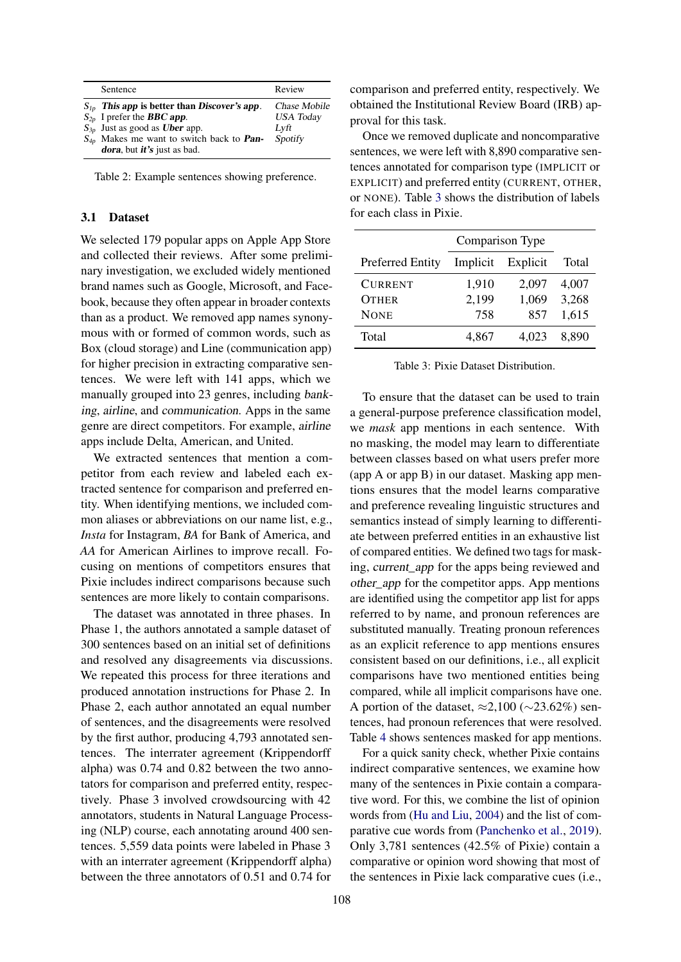<span id="page-2-0"></span>

| Sentence                                                                                                                                                                                                                                            | Review                                              |
|-----------------------------------------------------------------------------------------------------------------------------------------------------------------------------------------------------------------------------------------------------|-----------------------------------------------------|
| $S_{1p}$ This app is better than Discover's app.<br>$S_{2p}$ I prefer the <b>BBC</b> app.<br>$S_{3p}$ Just as good as <b>Uber</b> app.<br>$S_{4p}$ Makes me want to switch back to <b>Pan-</b><br><b><i>dora</i></b> , but <i>it's</i> just as bad. | Chase Mobile<br><b>USA</b> Today<br>Lyft<br>Spotify |

Table 2: Example sentences showing preference.

#### 3.1 Dataset

We selected 179 popular apps on Apple App Store and collected their reviews. After some preliminary investigation, we excluded widely mentioned brand names such as Google, Microsoft, and Facebook, because they often appear in broader contexts than as a product. We removed app names synonymous with or formed of common words, such as Box (cloud storage) and Line (communication app) for higher precision in extracting comparative sentences. We were left with 141 apps, which we manually grouped into 23 genres, including banking, airline, and communication. Apps in the same genre are direct competitors. For example, airline apps include Delta, American, and United.

We extracted sentences that mention a competitor from each review and labeled each extracted sentence for comparison and preferred entity. When identifying mentions, we included common aliases or abbreviations on our name list, e.g., *Insta* for Instagram, *BA* for Bank of America, and *AA* for American Airlines to improve recall. Focusing on mentions of competitors ensures that Pixie includes indirect comparisons because such sentences are more likely to contain comparisons.

The dataset was annotated in three phases. In Phase 1, the authors annotated a sample dataset of 300 sentences based on an initial set of definitions and resolved any disagreements via discussions. We repeated this process for three iterations and produced annotation instructions for Phase 2. In Phase 2, each author annotated an equal number of sentences, and the disagreements were resolved by the first author, producing 4,793 annotated sentences. The interrater agreement (Krippendorff alpha) was 0.74 and 0.82 between the two annotators for comparison and preferred entity, respectively. Phase 3 involved crowdsourcing with 42 annotators, students in Natural Language Processing (NLP) course, each annotating around 400 sentences. 5,559 data points were labeled in Phase 3 with an interrater agreement (Krippendorff alpha) between the three annotators of 0.51 and 0.74 for

comparison and preferred entity, respectively. We obtained the Institutional Review Board (IRB) approval for this task.

Once we removed duplicate and noncomparative sentences, we were left with 8,890 comparative sentences annotated for comparison type (IMPLICIT or EXPLICIT) and preferred entity (CURRENT, OTHER, or NONE). Table [3](#page-2-1) shows the distribution of labels for each class in Pixie.

<span id="page-2-1"></span>

|                         | Comparison Type |          |       |
|-------------------------|-----------------|----------|-------|
| <b>Preferred Entity</b> | Implicit        | Explicit | Total |
| <b>CURRENT</b>          | 1,910           | 2,097    | 4,007 |
| <b>OTHER</b>            | 2,199           | 1,069    | 3,268 |
| <b>NONE</b>             | 758             | 857      | 1,615 |
| Total                   | 4,867           | 4.023    | 8.890 |

Table 3: Pixie Dataset Distribution.

To ensure that the dataset can be used to train a general-purpose preference classification model, we *mask* app mentions in each sentence. With no masking, the model may learn to differentiate between classes based on what users prefer more (app A or app B) in our dataset. Masking app mentions ensures that the model learns comparative and preference revealing linguistic structures and semantics instead of simply learning to differentiate between preferred entities in an exhaustive list of compared entities. We defined two tags for masking, current\_app for the apps being reviewed and other\_app for the competitor apps. App mentions are identified using the competitor app list for apps referred to by name, and pronoun references are substituted manually. Treating pronoun references as an explicit reference to app mentions ensures consistent based on our definitions, i.e., all explicit comparisons have two mentioned entities being compared, while all implicit comparisons have one. A portion of the dataset,  $\approx 2,100$  ( $\sim 23.62\%$ ) sentences, had pronoun references that were resolved. Table [4](#page-4-0) shows sentences masked for app mentions.

For a quick sanity check, whether Pixie contains indirect comparative sentences, we examine how many of the sentences in Pixie contain a comparative word. For this, we combine the list of opinion words from [\(Hu and Liu,](#page-5-13) [2004\)](#page-5-13) and the list of comparative cue words from [\(Panchenko et al.,](#page-5-5) [2019\)](#page-5-5). Only 3,781 sentences (42.5% of Pixie) contain a comparative or opinion word showing that most of the sentences in Pixie lack comparative cues (i.e.,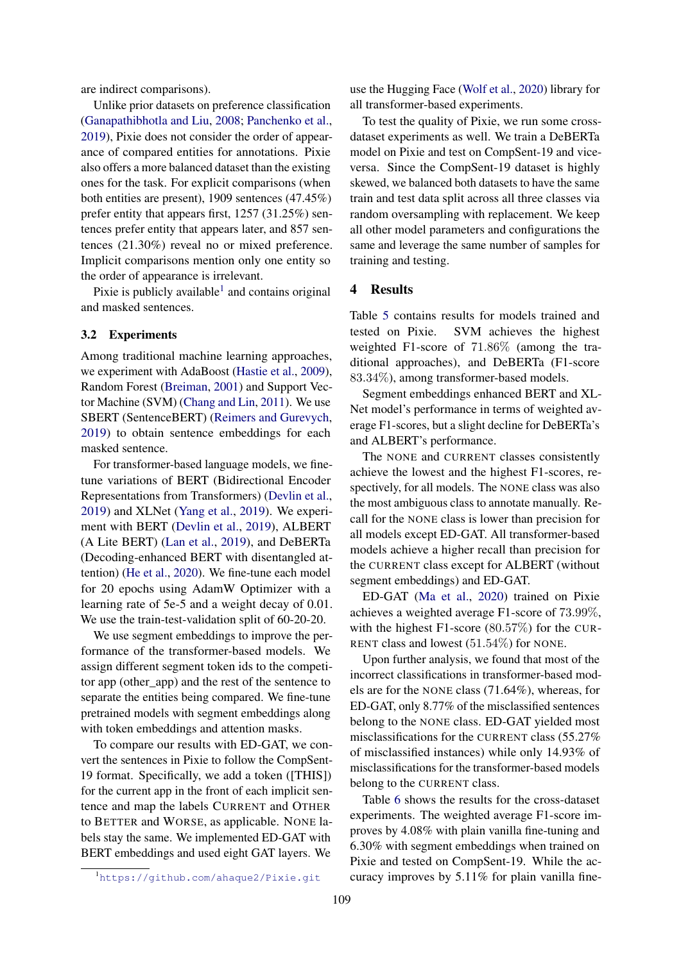are indirect comparisons).

Unlike prior datasets on preference classification [\(Ganapathibhotla and Liu,](#page-5-4) [2008;](#page-5-4) [Panchenko et al.,](#page-5-5) [2019\)](#page-5-5), Pixie does not consider the order of appearance of compared entities for annotations. Pixie also offers a more balanced dataset than the existing ones for the task. For explicit comparisons (when both entities are present), 1909 sentences (47.45%) prefer entity that appears first, 1257 (31.25%) sentences prefer entity that appears later, and 857 sentences (21.30%) reveal no or mixed preference. Implicit comparisons mention only one entity so the order of appearance is irrelevant.

Pixie is publicly available $<sup>1</sup>$  $<sup>1</sup>$  $<sup>1</sup>$  and contains original</sup> and masked sentences.

#### 3.2 Experiments

Among traditional machine learning approaches, we experiment with AdaBoost [\(Hastie et al.,](#page-5-14) [2009\)](#page-5-14), Random Forest [\(Breiman,](#page-5-15) [2001\)](#page-5-15) and Support Vector Machine (SVM) [\(Chang and Lin,](#page-5-16) [2011\)](#page-5-16). We use SBERT (SentenceBERT) [\(Reimers and Gurevych,](#page-6-5) [2019\)](#page-6-5) to obtain sentence embeddings for each masked sentence.

For transformer-based language models, we finetune variations of BERT (Bidirectional Encoder Representations from Transformers) [\(Devlin et al.,](#page-5-17) [2019\)](#page-5-17) and XLNet [\(Yang et al.,](#page-6-6) [2019\)](#page-6-6). We experiment with BERT [\(Devlin et al.,](#page-5-17) [2019\)](#page-5-17), ALBERT (A Lite BERT) [\(Lan et al.,](#page-5-18) [2019\)](#page-5-18), and DeBERTa (Decoding-enhanced BERT with disentangled attention) [\(He et al.,](#page-5-19) [2020\)](#page-5-19). We fine-tune each model for 20 epochs using AdamW Optimizer with a learning rate of 5e-5 and a weight decay of 0.01. We use the train-test-validation split of 60-20-20.

We use segment embeddings to improve the performance of the transformer-based models. We assign different segment token ids to the competitor app (other\_app) and the rest of the sentence to separate the entities being compared. We fine-tune pretrained models with segment embeddings along with token embeddings and attention masks.

To compare our results with ED-GAT, we convert the sentences in Pixie to follow the CompSent-19 format. Specifically, we add a token ([THIS]) for the current app in the front of each implicit sentence and map the labels CURRENT and OTHER to BETTER and WORSE, as applicable. NONE labels stay the same. We implemented ED-GAT with BERT embeddings and used eight GAT layers. We

<span id="page-3-0"></span>1https://qithub.com/ahaque2/Pixie.qit

use the Hugging Face [\(Wolf et al.,](#page-6-7) [2020\)](#page-6-7) library for all transformer-based experiments.

To test the quality of Pixie, we run some crossdataset experiments as well. We train a DeBERTa model on Pixie and test on CompSent-19 and viceversa. Since the CompSent-19 dataset is highly skewed, we balanced both datasets to have the same train and test data split across all three classes via random oversampling with replacement. We keep all other model parameters and configurations the same and leverage the same number of samples for training and testing.

#### 4 Results

Table [5](#page-4-1) contains results for models trained and tested on Pixie. SVM achieves the highest weighted F1-score of 71.86% (among the traditional approaches), and DeBERTa (F1-score 83.34%), among transformer-based models.

Segment embeddings enhanced BERT and XL-Net model's performance in terms of weighted average F1-scores, but a slight decline for DeBERTa's and ALBERT's performance.

The NONE and CURRENT classes consistently achieve the lowest and the highest F1-scores, respectively, for all models. The NONE class was also the most ambiguous class to annotate manually. Recall for the NONE class is lower than precision for all models except ED-GAT. All transformer-based models achieve a higher recall than precision for the CURRENT class except for ALBERT (without segment embeddings) and ED-GAT.

ED-GAT [\(Ma et al.,](#page-5-8) [2020\)](#page-5-8) trained on Pixie achieves a weighted average F1-score of 73.99%, with the highest F1-score (80.57%) for the CUR-RENT class and lowest (51.54%) for NONE.

Upon further analysis, we found that most of the incorrect classifications in transformer-based models are for the NONE class (71.64%), whereas, for ED-GAT, only 8.77% of the misclassified sentences belong to the NONE class. ED-GAT yielded most misclassifications for the CURRENT class (55.27% of misclassified instances) while only 14.93% of misclassifications for the transformer-based models belong to the CURRENT class.

Table [6](#page-4-2) shows the results for the cross-dataset experiments. The weighted average F1-score improves by 4.08% with plain vanilla fine-tuning and 6.30% with segment embeddings when trained on Pixie and tested on CompSent-19. While the accuracy improves by 5.11% for plain vanilla fine-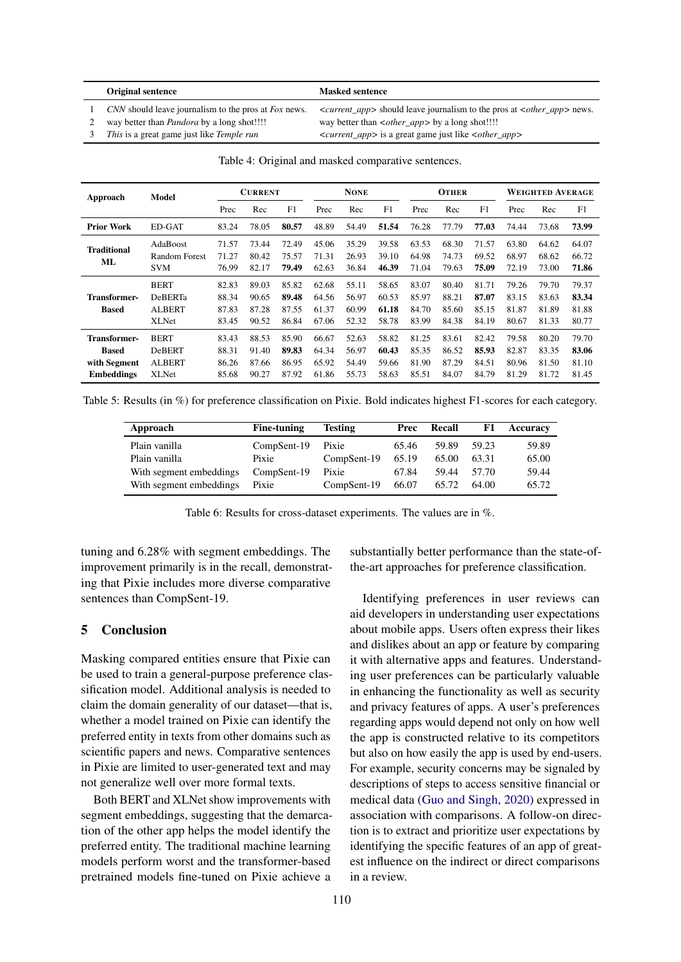#### <span id="page-4-0"></span>Original sentence Masked sentence

1 *CNN* should leave journalism to the pros at *Fox* news. *<current app>* should leave journalism to the pros at *<other app>* news.

2 way better than *Pandora* by a long shot!!!! way better than *<other\_app>* by a long shot!!!!

3 *This* is a great game just like *Temple run* <*current\_app>* is a great game just like *<other\_app>* 

|  |  |  |  | Table 4: Original and masked comparative sentences. |  |
|--|--|--|--|-----------------------------------------------------|--|
|--|--|--|--|-----------------------------------------------------|--|

<span id="page-4-1"></span>

| Approach                                                                 | Model                                                          | <b>CURRENT</b>                   |                                  | <b>NONE</b>                      |                                  | <b>OTHER</b>                     |                                  |                                  | <b>WEIGHTED AVERAGE</b>          |                                  |                                  |                                  |                                  |
|--------------------------------------------------------------------------|----------------------------------------------------------------|----------------------------------|----------------------------------|----------------------------------|----------------------------------|----------------------------------|----------------------------------|----------------------------------|----------------------------------|----------------------------------|----------------------------------|----------------------------------|----------------------------------|
|                                                                          |                                                                | Prec                             | Rec                              | F1                               | Prec                             | Rec                              | F1                               | Prec                             | Rec                              | F1                               | Prec                             | Rec                              | F1                               |
| <b>Prior Work</b>                                                        | <b>ED-GAT</b>                                                  | 83.24                            | 78.05                            | 80.57                            | 48.89                            | 54.49                            | 51.54                            | 76.28                            | 77.79                            | 77.03                            | 74.44                            | 73.68                            | 73.99                            |
| <b>Traditional</b><br>ML                                                 | AdaBoost<br>Random Forest<br><b>SVM</b>                        | 71.57<br>71.27<br>76.99          | 73.44<br>80.42<br>82.17          | 72.49<br>75.57<br>79.49          | 45.06<br>71.31<br>62.63          | 35.29<br>26.93<br>36.84          | 39.58<br>39.10<br>46.39          | 63.53<br>64.98<br>71.04          | 68.30<br>74.73<br>79.63          | 71.57<br>69.52<br>75.09          | 63.80<br>68.97<br>72.19          | 64.62<br>68.62<br>73.00          | 64.07<br>66.72<br>71.86          |
| <b>Transformer-</b><br><b>Based</b>                                      | <b>BERT</b><br><b>DeBERTa</b><br><b>ALBERT</b><br><b>XLNet</b> | 82.83<br>88.34<br>87.83<br>83.45 | 89.03<br>90.65<br>87.28<br>90.52 | 85.82<br>89.48<br>87.55<br>86.84 | 62.68<br>64.56<br>61.37<br>67.06 | 55.11<br>56.97<br>60.99<br>52.32 | 58.65<br>60.53<br>61.18<br>58.78 | 83.07<br>85.97<br>84.70<br>83.99 | 80.40<br>88.21<br>85.60<br>84.38 | 81.71<br>87.07<br>85.15<br>84.19 | 79.26<br>83.15<br>81.87<br>80.67 | 79.70<br>83.63<br>81.89<br>81.33 | 79.37<br>83.34<br>81.88<br>80.77 |
| <b>Transformer-</b><br><b>Based</b><br>with Segment<br><b>Embeddings</b> | <b>BERT</b><br><b>DeBERT</b><br><b>ALBERT</b><br><b>XLNet</b>  | 83.43<br>88.31<br>86.26<br>85.68 | 88.53<br>91.40<br>87.66<br>90.27 | 85.90<br>89.83<br>86.95<br>87.92 | 66.67<br>64.34<br>65.92<br>61.86 | 52.63<br>56.97<br>54.49<br>55.73 | 58.82<br>60.43<br>59.66<br>58.63 | 81.25<br>85.35<br>81.90<br>85.51 | 83.61<br>86.52<br>87.29<br>84.07 | 82.42<br>85.93<br>84.51<br>84.79 | 79.58<br>82.87<br>80.96<br>81.29 | 80.20<br>83.35<br>81.50<br>81.72 | 79.70<br>83.06<br>81.10<br>81.45 |

<span id="page-4-2"></span>Table 5: Results (in %) for preference classification on Pixie. Bold indicates highest F1-scores for each category.

| Approach                | Fine-tuning | <b>Testing</b> | Prec  | Recall | F1    | Accuracy |
|-------------------------|-------------|----------------|-------|--------|-------|----------|
| Plain vanilla           | CompSent-19 | Pixie          | 65.46 | 59.89  | 59.23 | 59.89    |
| Plain vanilla           | Pixie       | CompSent-19    | 65.19 | 65.00  | 63.31 | 65.00    |
| With segment embeddings | CompSent-19 | Pixie          | 67.84 | 59.44  | 57.70 | 59.44    |
| With segment embeddings | Pixie       | CompSent-19    | 66.07 | 65.72  | 64.00 | 65.72    |

Table 6: Results for cross-dataset experiments. The values are in %.

tuning and 6.28% with segment embeddings. The improvement primarily is in the recall, demonstrating that Pixie includes more diverse comparative sentences than CompSent-19.

# 5 Conclusion

Masking compared entities ensure that Pixie can be used to train a general-purpose preference classification model. Additional analysis is needed to claim the domain generality of our dataset—that is, whether a model trained on Pixie can identify the preferred entity in texts from other domains such as scientific papers and news. Comparative sentences in Pixie are limited to user-generated text and may not generalize well over more formal texts.

Both BERT and XLNet show improvements with segment embeddings, suggesting that the demarcation of the other app helps the model identify the preferred entity. The traditional machine learning models perform worst and the transformer-based pretrained models fine-tuned on Pixie achieve a

substantially better performance than the state-ofthe-art approaches for preference classification.

Identifying preferences in user reviews can aid developers in understanding user expectations about mobile apps. Users often express their likes and dislikes about an app or feature by comparing it with alternative apps and features. Understanding user preferences can be particularly valuable in enhancing the functionality as well as security and privacy features of apps. A user's preferences regarding apps would depend not only on how well the app is constructed relative to its competitors but also on how easily the app is used by end-users. For example, security concerns may be signaled by descriptions of steps to access sensitive financial or medical data [\(Guo and Singh,](#page-5-2) [2020\)](#page-5-2) expressed in association with comparisons. A follow-on direction is to extract and prioritize user expectations by identifying the specific features of an app of greatest influence on the indirect or direct comparisons in a review.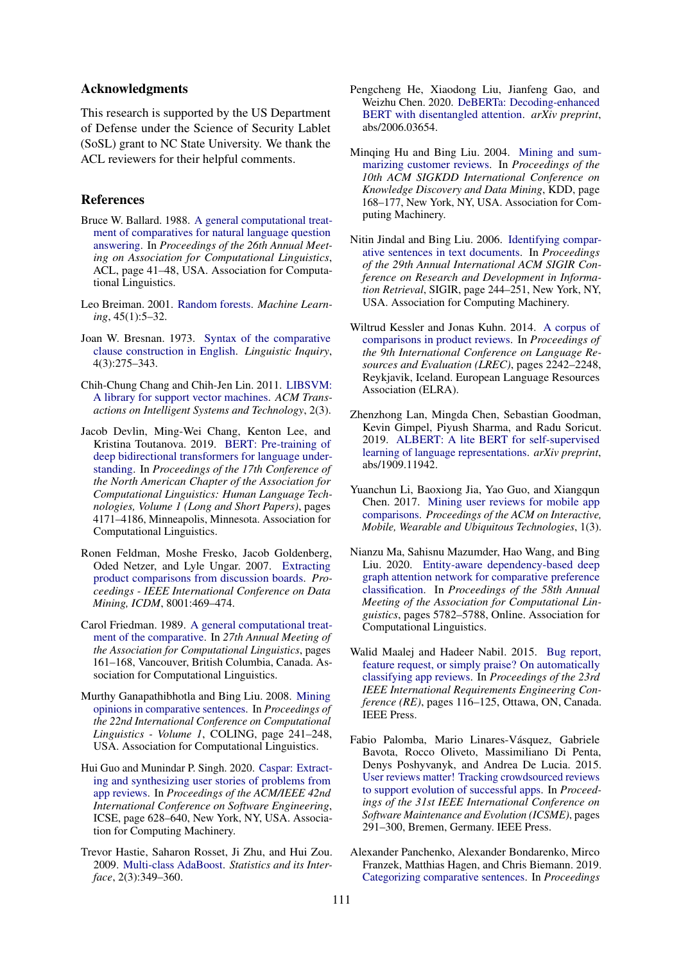## Acknowledgments

This research is supported by the US Department of Defense under the Science of Security Lablet (SoSL) grant to NC State University. We thank the ACL reviewers for their helpful comments.

#### References

- <span id="page-5-10"></span>Bruce W. Ballard. 1988. [A general computational treat](https://doi.org/10.3115/982023.982029)[ment of comparatives for natural language question](https://doi.org/10.3115/982023.982029) [answering.](https://doi.org/10.3115/982023.982029) In *Proceedings of the 26th Annual Meeting on Association for Computational Linguistics*, ACL, page 41–48, USA. Association for Computational Linguistics.
- <span id="page-5-15"></span>Leo Breiman. 2001. [Random forests.](https://doi.org/10.1023/A:1010933404324) *Machine Learning*, 45(1):5–32.
- <span id="page-5-9"></span>Joan W. Bresnan. 1973. [Syntax of the comparative](https://web.stanford.edu/~bresnan/bresnan.LI.1973.pdf) [clause construction in English.](https://web.stanford.edu/~bresnan/bresnan.LI.1973.pdf) *Linguistic Inquiry*, 4(3):275–343.
- <span id="page-5-16"></span>Chih-Chung Chang and Chih-Jen Lin. 2011. [LIBSVM:](https://doi.org/10.1145/1961189.1961199) [A library for support vector machines.](https://doi.org/10.1145/1961189.1961199) *ACM Transactions on Intelligent Systems and Technology*, 2(3).
- <span id="page-5-17"></span>Jacob Devlin, Ming-Wei Chang, Kenton Lee, and Kristina Toutanova. 2019. [BERT: Pre-training of](https://doi.org/10.18653/v1/N19-1423) [deep bidirectional transformers for language under](https://doi.org/10.18653/v1/N19-1423)[standing.](https://doi.org/10.18653/v1/N19-1423) In *Proceedings of the 17th Conference of the North American Chapter of the Association for Computational Linguistics: Human Language Technologies, Volume 1 (Long and Short Papers)*, pages 4171–4186, Minneapolis, Minnesota. Association for Computational Linguistics.
- <span id="page-5-7"></span>Ronen Feldman, Moshe Fresko, Jacob Goldenberg, Oded Netzer, and Lyle Ungar. 2007. [Extracting](https://doi.org/10.1109/ICDM.2007.27) [product comparisons from discussion boards.](https://doi.org/10.1109/ICDM.2007.27) *Proceedings - IEEE International Conference on Data Mining, ICDM*, 8001:469–474.
- <span id="page-5-11"></span>Carol Friedman. 1989. [A general computational treat](https://doi.org/10.3115/981623.981643)[ment of the comparative.](https://doi.org/10.3115/981623.981643) In *27th Annual Meeting of the Association for Computational Linguistics*, pages 161–168, Vancouver, British Columbia, Canada. Association for Computational Linguistics.
- <span id="page-5-4"></span>Murthy Ganapathibhotla and Bing Liu. 2008. [Mining](https://dl.acm.org/doi/10.5555/1599081.1599112) [opinions in comparative sentences.](https://dl.acm.org/doi/10.5555/1599081.1599112) In *Proceedings of the 22nd International Conference on Computational Linguistics - Volume 1*, COLING, page 241–248, USA. Association for Computational Linguistics.
- <span id="page-5-2"></span>Hui Guo and Munindar P. Singh. 2020. [Caspar: Extract](https://doi.org/10.1145/3377811.3380924)[ing and synthesizing user stories of problems from](https://doi.org/10.1145/3377811.3380924) [app reviews.](https://doi.org/10.1145/3377811.3380924) In *Proceedings of the ACM/IEEE 42nd International Conference on Software Engineering*, ICSE, page 628–640, New York, NY, USA. Association for Computing Machinery.
- <span id="page-5-14"></span>Trevor Hastie, Saharon Rosset, Ji Zhu, and Hui Zou. 2009. [Multi-class AdaBoost.](https://doi.org/10.4310/SII.2009.v2.n3.a8) *Statistics and its Interface*, 2(3):349–360.
- <span id="page-5-19"></span>Pengcheng He, Xiaodong Liu, Jianfeng Gao, and Weizhu Chen. 2020. [DeBERTa: Decoding-enhanced](https://doi.org/10.48550/arXiv.2006.03654) [BERT with disentangled attention.](https://doi.org/10.48550/arXiv.2006.03654) *arXiv preprint*, abs/2006.03654.
- <span id="page-5-13"></span>Minqing Hu and Bing Liu. 2004. [Mining and sum](https://doi.org/10.1145/1014052.1014073)[marizing customer reviews.](https://doi.org/10.1145/1014052.1014073) In *Proceedings of the 10th ACM SIGKDD International Conference on Knowledge Discovery and Data Mining*, KDD, page 168–177, New York, NY, USA. Association for Computing Machinery.
- <span id="page-5-3"></span>Nitin Jindal and Bing Liu. 2006. [Identifying compar](https://doi.org/10.1145/1148170.1148215)[ative sentences in text documents.](https://doi.org/10.1145/1148170.1148215) In *Proceedings of the 29th Annual International ACM SIGIR Conference on Research and Development in Information Retrieval*, SIGIR, page 244–251, New York, NY, USA. Association for Computing Machinery.
- <span id="page-5-12"></span>Wiltrud Kessler and Jonas Kuhn. 2014. [A corpus of](http://www.lrec-conf.org/proceedings/lrec2014/pdf/1001_Paper.pdf) [comparisons in product reviews.](http://www.lrec-conf.org/proceedings/lrec2014/pdf/1001_Paper.pdf) In *Proceedings of the 9th International Conference on Language Resources and Evaluation (LREC)*, pages 2242–2248, Reykjavik, Iceland. European Language Resources Association (ELRA).
- <span id="page-5-18"></span>Zhenzhong Lan, Mingda Chen, Sebastian Goodman, Kevin Gimpel, Piyush Sharma, and Radu Soricut. 2019. [ALBERT: A lite BERT for self-supervised](https://doi.org/10.48550/arXiv.1909.11942) [learning of language representations.](https://doi.org/10.48550/arXiv.1909.11942) *arXiv preprint*, abs/1909.11942.
- <span id="page-5-6"></span>Yuanchun Li, Baoxiong Jia, Yao Guo, and Xiangqun Chen. 2017. [Mining user reviews for mobile app](https://doi.org/10.1145/3130935) [comparisons.](https://doi.org/10.1145/3130935) *Proceedings of the ACM on Interactive, Mobile, Wearable and Ubiquitous Technologies*, 1(3).
- <span id="page-5-8"></span>Nianzu Ma, Sahisnu Mazumder, Hao Wang, and Bing Liu. 2020. [Entity-aware dependency-based deep](https://doi.org/10.18653/v1/2020.acl-main.512) [graph attention network for comparative preference](https://doi.org/10.18653/v1/2020.acl-main.512) [classification.](https://doi.org/10.18653/v1/2020.acl-main.512) In *Proceedings of the 58th Annual Meeting of the Association for Computational Linguistics*, pages 5782–5788, Online. Association for Computational Linguistics.
- <span id="page-5-1"></span>Walid Maalej and Hadeer Nabil. 2015. [Bug report,](https://doi.org/10.1109/RE.2015.7320414) [feature request, or simply praise? On automatically](https://doi.org/10.1109/RE.2015.7320414) [classifying app reviews.](https://doi.org/10.1109/RE.2015.7320414) In *Proceedings of the 23rd IEEE International Requirements Engineering Conference (RE)*, pages 116–125, Ottawa, ON, Canada. IEEE Press.
- <span id="page-5-0"></span>Fabio Palomba, Mario Linares-Vásquez, Gabriele Bavota, Rocco Oliveto, Massimiliano Di Penta, Denys Poshyvanyk, and Andrea De Lucia. 2015. [User reviews matter! Tracking crowdsourced reviews](https://doi.org/10.1109/ICSM.2015.7332475) [to support evolution of successful apps.](https://doi.org/10.1109/ICSM.2015.7332475) In *Proceedings of the 31st IEEE International Conference on Software Maintenance and Evolution (ICSME)*, pages 291–300, Bremen, Germany. IEEE Press.
- <span id="page-5-5"></span>Alexander Panchenko, Alexander Bondarenko, Mirco Franzek, Matthias Hagen, and Chris Biemann. 2019. [Categorizing comparative sentences.](https://doi.org/10.18653/v1/W19-4516) In *Proceedings*